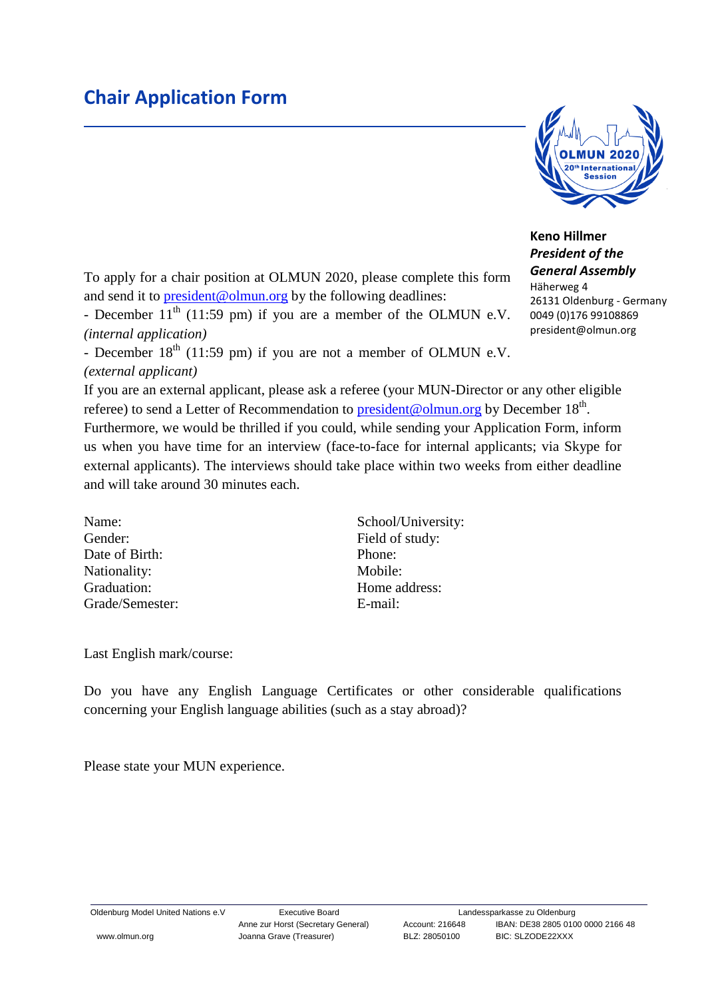## **Chair Application Form**



## **Keno Hillmer** *President of the*

president@olmun.org

To apply for a chair position at OLMUN 2020, please complete this form and send it to **president@olmun.org** by the following deadlines:

- December  $11<sup>th</sup>$  (11:59 pm) if you are a member of the OLMUN e.V. *(internal application)*

- December  $18<sup>th</sup>$  (11:59 pm) if you are not a member of OLMUN e.V. *(external applicant)*

If you are an external applicant, please ask a referee (your MUN-Director or any other eligible referee) to send a Letter of Recommendation to **president@olmun.org** by December 18<sup>th</sup>. Furthermore, we would be thrilled if you could, while sending your Application Form, inform us when you have time for an interview (face-to-face for internal applicants; via Skype for external applicants). The interviews should take place within two weeks from either deadline and will take around 30 minutes each.

Gender: Field of study: Date of Birth: Phone: Nationality: Mobile: Graduation: Home address: Grade/Semester: E-mail:

Name: School/University:

Last English mark/course:

Do you have any English Language Certificates or other considerable qualifications concerning your English language abilities (such as a stay abroad)?

Please state your MUN experience.

*General Assembly* Häherweg 4 26131 Oldenburg - Germany 0049 (0)176 99108869